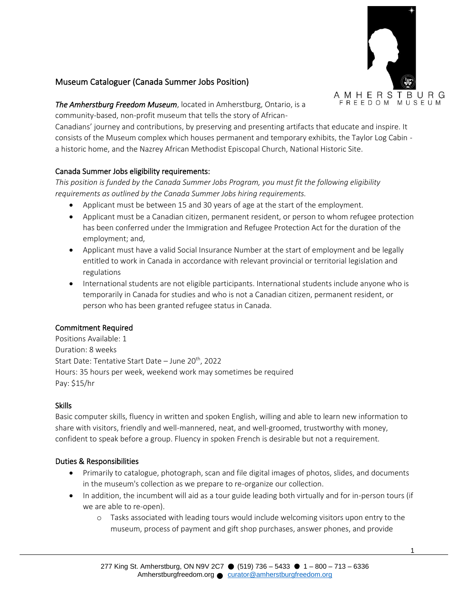

# Museum Cataloguer (Canada Summer Jobs Position)

*The Amherstburg Freedom Museum*, located in Amherstburg, Ontario, is a community-based, non-profit museum that tells the story of African-

Canadians' journey and contributions, by preserving and presenting artifacts that educate and inspire. It consists of the Museum complex which houses permanent and temporary exhibits, the Taylor Log Cabin a historic home, and the Nazrey African Methodist Episcopal Church, National Historic Site.

## Canada Summer Jobs eligibility requirements:

*This position is funded by the Canada Summer Jobs Program, you must fit the following eligibility requirements as outlined by the Canada Summer Jobs hiring requirements.* 

- Applicant must be between 15 and 30 years of age at the start of the employment.
- Applicant must be a Canadian citizen, permanent resident, or person to whom refugee protection has been conferred under the Immigration and Refugee Protection Act for the duration of the employment; and,
- Applicant must have a valid Social Insurance Number at the start of employment and be legally entitled to work in Canada in accordance with relevant provincial or territorial legislation and regulations
- International students are not eligible participants. International students include anyone who is temporarily in Canada for studies and who is not a Canadian citizen, permanent resident, or person who has been granted refugee status in Canada.

## Commitment Required

Positions Available: 1 Duration: 8 weeks Start Date: Tentative Start Date – June 20<sup>th</sup>, 2022 Hours: 35 hours per week, weekend work may sometimes be required Pay: \$15/hr

## Skills

Basic computer skills, fluency in written and spoken English, willing and able to learn new information to share with visitors, friendly and well-mannered, neat, and well-groomed, trustworthy with money, confident to speak before a group. Fluency in spoken French is desirable but not a requirement.

## Duties & Responsibilities

- Primarily to catalogue, photograph, scan and file digital images of photos, slides, and documents in the museum's collection as we prepare to re-organize our collection.
- In addition, the incumbent will aid as a tour guide leading both virtually and for in-person tours (if we are able to re-open).
	- o Tasks associated with leading tours would include welcoming visitors upon entry to the museum, process of payment and gift shop purchases, answer phones, and provide

1